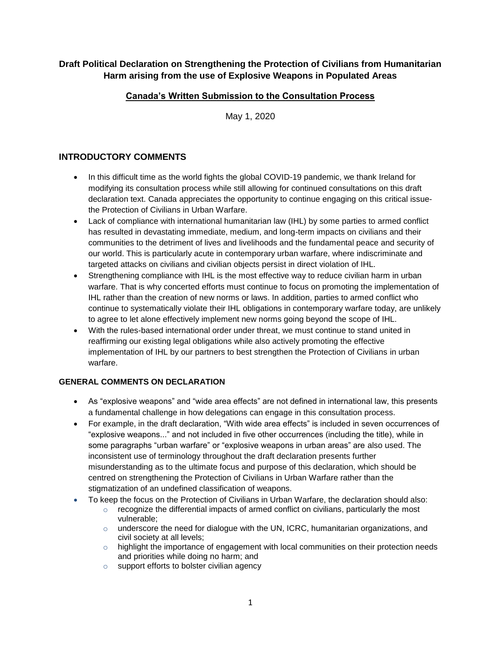# **Draft Political Declaration on Strengthening the Protection of Civilians from Humanitarian Harm arising from the use of Explosive Weapons in Populated Areas**

# **Canada's Written Submission to the Consultation Process**

May 1, 2020

# **INTRODUCTORY COMMENTS**

- In this difficult time as the world fights the global COVID-19 pandemic, we thank Ireland for modifying its consultation process while still allowing for continued consultations on this draft declaration text. Canada appreciates the opportunity to continue engaging on this critical issuethe Protection of Civilians in Urban Warfare.
- Lack of compliance with international humanitarian law (IHL) by some parties to armed conflict has resulted in devastating immediate, medium, and long-term impacts on civilians and their communities to the detriment of lives and livelihoods and the fundamental peace and security of our world. This is particularly acute in contemporary urban warfare, where indiscriminate and targeted attacks on civilians and civilian objects persist in direct violation of IHL.
- Strengthening compliance with IHL is the most effective way to reduce civilian harm in urban warfare. That is why concerted efforts must continue to focus on promoting the implementation of IHL rather than the creation of new norms or laws. In addition, parties to armed conflict who continue to systematically violate their IHL obligations in contemporary warfare today, are unlikely to agree to let alone effectively implement new norms going beyond the scope of IHL.
- With the rules-based international order under threat, we must continue to stand united in reaffirming our existing legal obligations while also actively promoting the effective implementation of IHL by our partners to best strengthen the Protection of Civilians in urban warfare.

### **GENERAL COMMENTS ON DECLARATION**

- As "explosive weapons" and "wide area effects" are not defined in international law, this presents a fundamental challenge in how delegations can engage in this consultation process.
- For example, in the draft declaration, "With wide area effects" is included in seven occurrences of "explosive weapons..." and not included in five other occurrences (including the title), while in some paragraphs "urban warfare" or "explosive weapons in urban areas" are also used. The inconsistent use of terminology throughout the draft declaration presents further misunderstanding as to the ultimate focus and purpose of this declaration, which should be centred on strengthening the Protection of Civilians in Urban Warfare rather than the stigmatization of an undefined classification of weapons.
- To keep the focus on the Protection of Civilians in Urban Warfare, the declaration should also:
	- $\circ$  recognize the differential impacts of armed conflict on civilians, particularly the most vulnerable;
	- $\circ$  underscore the need for dialogue with the UN, ICRC, humanitarian organizations, and civil society at all levels;
	- $\circ$  highlight the importance of engagement with local communities on their protection needs and priorities while doing no harm; and
	- o support efforts to bolster civilian agency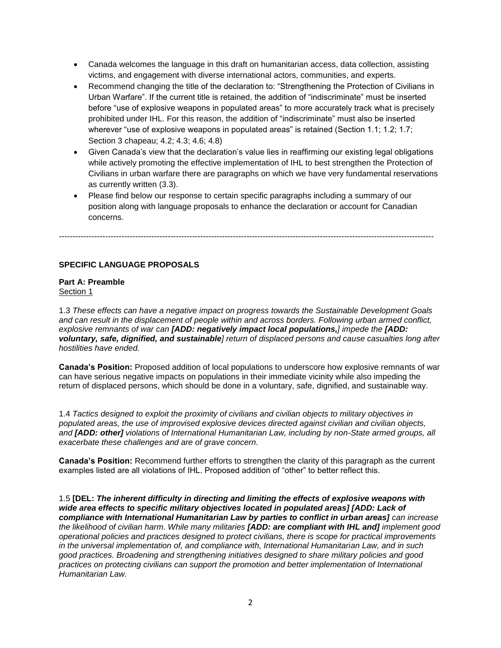- Canada welcomes the language in this draft on humanitarian access, data collection, assisting victims, and engagement with diverse international actors, communities, and experts.
- Recommend changing the title of the declaration to: "Strengthening the Protection of Civilians in Urban Warfare". If the current title is retained, the addition of "indiscriminate" must be inserted before "use of explosive weapons in populated areas" to more accurately track what is precisely prohibited under IHL. For this reason, the addition of "indiscriminate" must also be inserted wherever "use of explosive weapons in populated areas" is retained (Section 1.1; 1.2; 1.7; Section 3 chapeau; 4.2; 4.3; 4.6; 4.8)
- Given Canada's view that the declaration's value lies in reaffirming our existing legal obligations while actively promoting the effective implementation of IHL to best strengthen the Protection of Civilians in urban warfare there are paragraphs on which we have very fundamental reservations as currently written (3.3).
- Please find below our response to certain specific paragraphs including a summary of our position along with language proposals to enhance the declaration or account for Canadian concerns.

------------------------------------------------------------------------------------------------------------------------------------------

**SPECIFIC LANGUAGE PROPOSALS**

#### **Part A: Preamble**  Section 1

1.3 *These effects can have a negative impact on progress towards the Sustainable Development Goals and can result in the displacement of people within and across borders. Following urban armed conflict, explosive remnants of war can [ADD: negatively impact local populations,] impede the [ADD: voluntary, safe, dignified, and sustainable] return of displaced persons and cause casualties long after hostilities have ended.*

**Canada's Position:** Proposed addition of local populations to underscore how explosive remnants of war can have serious negative impacts on populations in their immediate vicinity while also impeding the return of displaced persons, which should be done in a voluntary, safe, dignified, and sustainable way.

1.4 *Tactics designed to exploit the proximity of civilians and civilian objects to military objectives in populated areas, the use of improvised explosive devices directed against civilian and civilian objects, and [ADD: other] violations of International Humanitarian Law, including by non-State armed groups, all exacerbate these challenges and are of grave concern.*

**Canada's Position:** Recommend further efforts to strengthen the clarity of this paragraph as the current examples listed are all violations of IHL. Proposed addition of "other" to better reflect this.

1.5 **[DEL:** *The inherent difficulty in directing and limiting the effects of explosive weapons with wide area effects to specific military objectives located in populated areas] [ADD: Lack of compliance with International Humanitarian Law by parties to conflict in urban areas] can increase the likelihood of civilian harm. While many militaries [ADD: are compliant with IHL and] implement good operational policies and practices designed to protect civilians, there is scope for practical improvements in the universal implementation of, and compliance with, International Humanitarian Law, and in such good practices. Broadening and strengthening initiatives designed to share military policies and good practices on protecting civilians can support the promotion and better implementation of International Humanitarian Law.*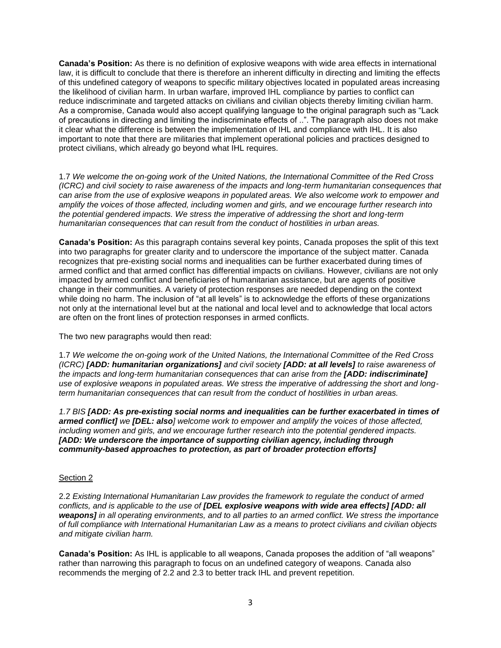**Canada's Position:** As there is no definition of explosive weapons with wide area effects in international law, it is difficult to conclude that there is therefore an inherent difficulty in directing and limiting the effects of this undefined category of weapons to specific military objectives located in populated areas increasing the likelihood of civilian harm. In urban warfare, improved IHL compliance by parties to conflict can reduce indiscriminate and targeted attacks on civilians and civilian objects thereby limiting civilian harm. As a compromise, Canada would also accept qualifying language to the original paragraph such as "Lack of precautions in directing and limiting the indiscriminate effects of ..". The paragraph also does not make it clear what the difference is between the implementation of IHL and compliance with IHL. It is also important to note that there are militaries that implement operational policies and practices designed to protect civilians, which already go beyond what IHL requires.

1.7 *We welcome the on-going work of the United Nations, the International Committee of the Red Cross (ICRC) and civil society to raise awareness of the impacts and long-term humanitarian consequences that can arise from the use of explosive weapons in populated areas. We also welcome work to empower and amplify the voices of those affected, including women and girls, and we encourage further research into the potential gendered impacts. We stress the imperative of addressing the short and long-term humanitarian consequences that can result from the conduct of hostilities in urban areas.*

**Canada's Position:** As this paragraph contains several key points, Canada proposes the split of this text into two paragraphs for greater clarity and to underscore the importance of the subject matter. Canada recognizes that pre-existing social norms and inequalities can be further exacerbated during times of armed conflict and that armed conflict has differential impacts on civilians. However, civilians are not only impacted by armed conflict and beneficiaries of humanitarian assistance, but are agents of positive change in their communities. A variety of protection responses are needed depending on the context while doing no harm. The inclusion of "at all levels" is to acknowledge the efforts of these organizations not only at the international level but at the national and local level and to acknowledge that local actors are often on the front lines of protection responses in armed conflicts.

The two new paragraphs would then read:

1.7 *We welcome the on-going work of the United Nations, the International Committee of the Red Cross (ICRC) [ADD: humanitarian organizations] and civil society [ADD: at all levels] to raise awareness of the impacts and long-term humanitarian consequences that can arise from the [ADD: indiscriminate] use of explosive weapons in populated areas. We stress the imperative of addressing the short and longterm humanitarian consequences that can result from the conduct of hostilities in urban areas.*

*1.7 BIS [ADD: As pre-existing social norms and inequalities can be further exacerbated in times of armed conflict] we [DEL: also] welcome work to empower and amplify the voices of those affected, including women and girls, and we encourage further research into the potential gendered impacts. [ADD: We underscore the importance of supporting civilian agency, including through community-based approaches to protection, as part of broader protection efforts]*

### Section 2

2.2 *Existing International Humanitarian Law provides the framework to regulate the conduct of armed conflicts, and is applicable to the use of [DEL explosive weapons with wide area effects] [ADD: all weapons] in all operating environments, and to all parties to an armed conflict. We stress the importance of full compliance with International Humanitarian Law as a means to protect civilians and civilian objects and mitigate civilian harm.*

**Canada's Position:** As IHL is applicable to all weapons, Canada proposes the addition of "all weapons" rather than narrowing this paragraph to focus on an undefined category of weapons. Canada also recommends the merging of 2.2 and 2.3 to better track IHL and prevent repetition.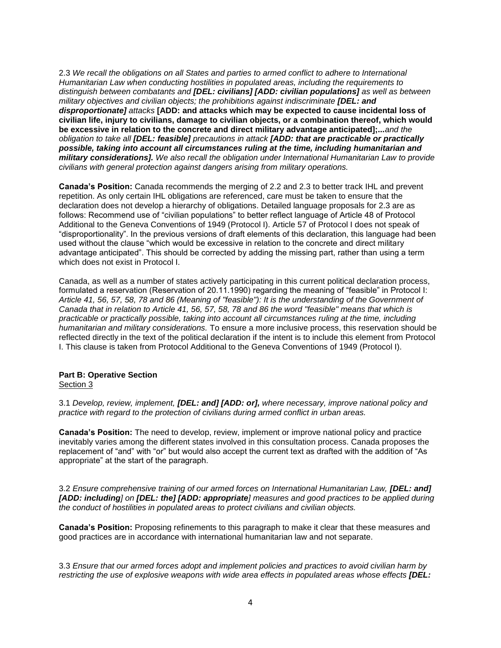2.3 *We recall the obligations on all States and parties to armed conflict to adhere to International Humanitarian Law when conducting hostilities in populated areas, including the requirements to distinguish between combatants and [DEL: civilians] [ADD: civilian populations] as well as between military objectives and civilian objects; the prohibitions against indiscriminate [DEL: and disproportionate] attacks* **[ADD: and attacks which may be expected to cause incidental loss of civilian life, injury to civilians, damage to civilian objects, or a combination thereof, which would be excessive in relation to the concrete and direct military advantage anticipated];...***and the obligation to take all [DEL: feasible] precautions in attack [ADD: that are practicable or practically possible, taking into account all circumstances ruling at the time, including humanitarian and military considerations]. We also recall the obligation under International Humanitarian Law to provide civilians with general protection against dangers arising from military operations.*

**Canada's Position:** Canada recommends the merging of 2.2 and 2.3 to better track IHL and prevent repetition. As only certain IHL obligations are referenced, care must be taken to ensure that the declaration does not develop a hierarchy of obligations. Detailed language proposals for 2.3 are as follows: Recommend use of "civilian populations" to better reflect language of Article 48 of Protocol Additional to the Geneva Conventions of 1949 (Protocol I). Article 57 of Protocol I does not speak of "disproportionality". In the previous versions of draft elements of this declaration, this language had been used without the clause "which would be excessive in relation to the concrete and direct military advantage anticipated". This should be corrected by adding the missing part, rather than using a term which does not exist in Protocol I.

Canada, as well as a number of states actively participating in this current political declaration process, formulated a reservation (Reservation of 20.11.1990) regarding the meaning of "feasible" in Protocol I: *Article 41, 56, 57, 58, 78 and 86 (Meaning of "feasible"): It is the understanding of the Government of Canada that in relation to Article 41, 56, 57, 58, 78 and 86 the word "feasible" means that which is practicable or practically possible, taking into account all circumstances ruling at the time, including humanitarian and military considerations.* To ensure a more inclusive process, this reservation should be reflected directly in the text of the political declaration if the intent is to include this element from Protocol I. This clause is taken from Protocol Additional to the Geneva Conventions of 1949 (Protocol I).

# **Part B: Operative Section**

Section 3

3.1 *Develop, review, implement, [DEL: and] [ADD: or], where necessary, improve national policy and practice with regard to the protection of civilians during armed conflict in urban areas.* 

**Canada's Position:** The need to develop, review, implement or improve national policy and practice inevitably varies among the different states involved in this consultation process. Canada proposes the replacement of "and" with "or" but would also accept the current text as drafted with the addition of "As appropriate" at the start of the paragraph.

3.2 *Ensure comprehensive training of our armed forces on International Humanitarian Law, [DEL: and] [ADD: including] on [DEL: the] [ADD: appropriate] measures and good practices to be applied during the conduct of hostilities in populated areas to protect civilians and civilian objects.*

**Canada's Position:** Proposing refinements to this paragraph to make it clear that these measures and good practices are in accordance with international humanitarian law and not separate.

3.3 *Ensure that our armed forces adopt and implement policies and practices to avoid civilian harm by restricting the use of explosive weapons with wide area effects in populated areas whose effects [DEL:*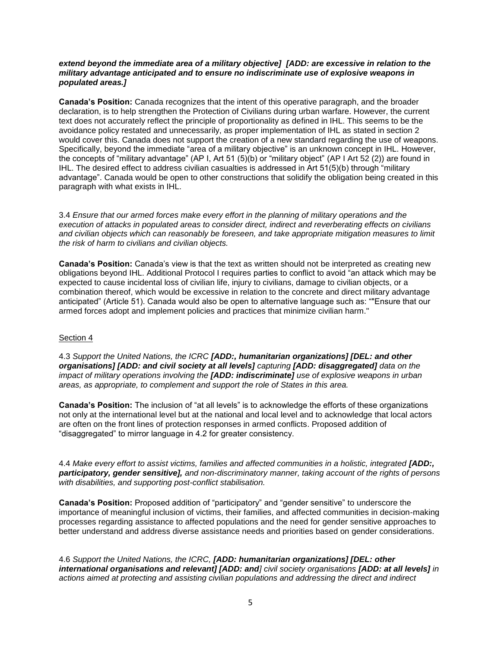### *extend beyond the immediate area of a military objective] [ADD: are excessive in relation to the military advantage anticipated and to ensure no indiscriminate use of explosive weapons in populated areas.]*

**Canada's Position:** Canada recognizes that the intent of this operative paragraph, and the broader declaration, is to help strengthen the Protection of Civilians during urban warfare. However, the current text does not accurately reflect the principle of proportionality as defined in IHL. This seems to be the avoidance policy restated and unnecessarily, as proper implementation of IHL as stated in section 2 would cover this. Canada does not support the creation of a new standard regarding the use of weapons. Specifically, beyond the immediate "area of a military objective" is an unknown concept in IHL. However, the concepts of "military advantage" (AP I, Art 51 (5)(b) or "military object" (AP I Art 52 (2)) are found in IHL. The desired effect to address civilian casualties is addressed in Art 51(5)(b) through "military advantage". Canada would be open to other constructions that solidify the obligation being created in this paragraph with what exists in IHL.

3.4 *Ensure that our armed forces make every effort in the planning of military operations and the execution of attacks in populated areas to consider direct, indirect and reverberating effects on civilians and civilian objects which can reasonably be foreseen, and take appropriate mitigation measures to limit the risk of harm to civilians and civilian objects.*

**Canada's Position:** Canada's view is that the text as written should not be interpreted as creating new obligations beyond IHL. Additional Protocol I requires parties to conflict to avoid "an attack which may be expected to cause incidental loss of civilian life, injury to civilians, damage to civilian objects, or a combination thereof, which would be excessive in relation to the concrete and direct military advantage anticipated" (Article 51). Canada would also be open to alternative language such as: ""Ensure that our armed forces adopt and implement policies and practices that minimize civilian harm."

### Section 4

4.3 *Support the United Nations, the ICRC [ADD:, humanitarian organizations] [DEL: and other organisations] [ADD: and civil society at all levels] capturing [ADD: disaggregated] data on the impact of military operations involving the [ADD: indiscriminate] use of explosive weapons in urban areas, as appropriate, to complement and support the role of States in this area.*

**Canada's Position:** The inclusion of "at all levels" is to acknowledge the efforts of these organizations not only at the international level but at the national and local level and to acknowledge that local actors are often on the front lines of protection responses in armed conflicts. Proposed addition of "disaggregated" to mirror language in 4.2 for greater consistency.

4.4 *Make every effort to assist victims, families and affected communities in a holistic, integrated [ADD:, participatory, gender sensitive], and non-discriminatory manner, taking account of the rights of persons with disabilities, and supporting post-conflict stabilisation.*

**Canada's Position:** Proposed addition of "participatory" and "gender sensitive" to underscore the importance of meaningful inclusion of victims, their families, and affected communities in decision-making processes regarding assistance to affected populations and the need for gender sensitive approaches to better understand and address diverse assistance needs and priorities based on gender considerations.

4.6 *Support the United Nations, the ICRC, [ADD: humanitarian organizations] [DEL: other international organisations and relevant] [ADD: and] civil society organisations [ADD: at all levels] in actions aimed at protecting and assisting civilian populations and addressing the direct and indirect*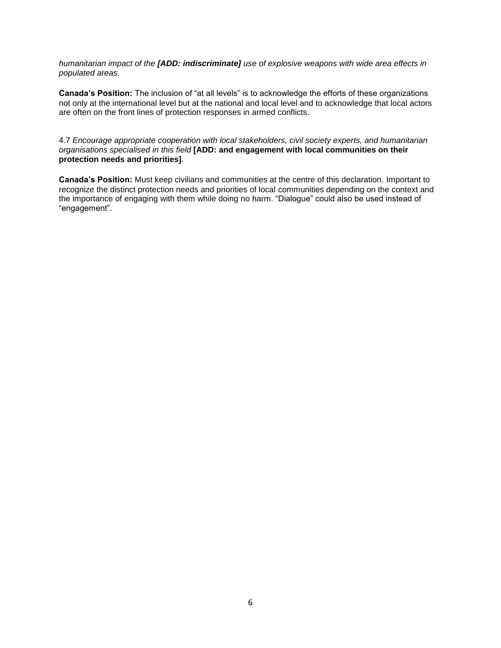*humanitarian impact of the [ADD: indiscriminate] use of explosive weapons with wide area effects in populated areas.*

**Canada's Position:** The inclusion of "at all levels" is to acknowledge the efforts of these organizations not only at the international level but at the national and local level and to acknowledge that local actors are often on the front lines of protection responses in armed conflicts.

4.7 *Encourage appropriate cooperation with local stakeholders, civil society experts, and humanitarian organisations specialised in this field* **[ADD: and engagement with local communities on their protection needs and priorities]***.*

**Canada's Position:** Must keep civilians and communities at the centre of this declaration. Important to recognize the distinct protection needs and priorities of local communities depending on the context and the importance of engaging with them while doing no harm. "Dialogue" could also be used instead of "engagement".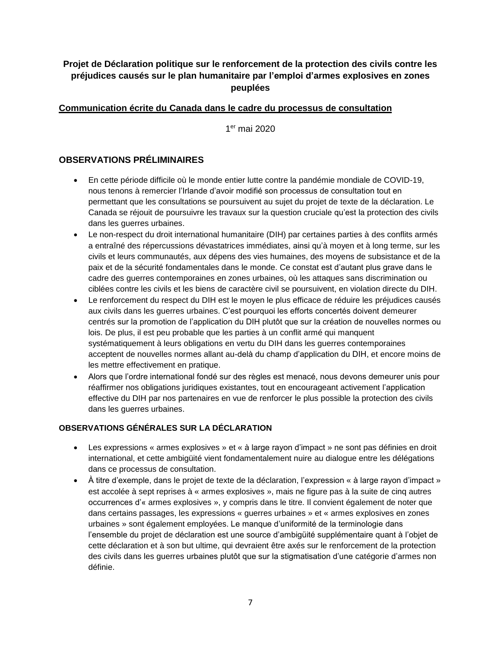# **Projet de Déclaration politique sur le renforcement de la protection des civils contre les préjudices causés sur le plan humanitaire par l'emploi d'armes explosives en zones peuplées**

# **Communication écrite du Canada dans le cadre du processus de consultation**

1 er mai 2020

# **OBSERVATIONS PRÉLIMINAIRES**

- En cette période difficile où le monde entier lutte contre la pandémie mondiale de COVID-19, nous tenons à remercier l'Irlande d'avoir modifié son processus de consultation tout en permettant que les consultations se poursuivent au sujet du projet de texte de la déclaration. Le Canada se réjouit de poursuivre les travaux sur la question cruciale qu'est la protection des civils dans les guerres urbaines.
- Le non-respect du droit international humanitaire (DIH) par certaines parties à des conflits armés a entraîné des répercussions dévastatrices immédiates, ainsi qu'à moyen et à long terme, sur les civils et leurs communautés, aux dépens des vies humaines, des moyens de subsistance et de la paix et de la sécurité fondamentales dans le monde. Ce constat est d'autant plus grave dans le cadre des guerres contemporaines en zones urbaines, où les attaques sans discrimination ou ciblées contre les civils et les biens de caractère civil se poursuivent, en violation directe du DIH.
- Le renforcement du respect du DIH est le moyen le plus efficace de réduire les préjudices causés aux civils dans les guerres urbaines. C'est pourquoi les efforts concertés doivent demeurer centrés sur la promotion de l'application du DIH plutôt que sur la création de nouvelles normes ou lois. De plus, il est peu probable que les parties à un conflit armé qui manquent systématiquement à leurs obligations en vertu du DIH dans les guerres contemporaines acceptent de nouvelles normes allant au-delà du champ d'application du DIH, et encore moins de les mettre effectivement en pratique.
- Alors que l'ordre international fondé sur des règles est menacé, nous devons demeurer unis pour réaffirmer nos obligations juridiques existantes, tout en encourageant activement l'application effective du DIH par nos partenaires en vue de renforcer le plus possible la protection des civils dans les guerres urbaines.

# **OBSERVATIONS GÉNÉRALES SUR LA DÉCLARATION**

- Les expressions « armes explosives » et « à large rayon d'impact » ne sont pas définies en droit international, et cette ambigüité vient fondamentalement nuire au dialogue entre les délégations dans ce processus de consultation.
- À titre d'exemple, dans le projet de texte de la déclaration, l'expression « à large rayon d'impact » est accolée à sept reprises à « armes explosives », mais ne figure pas à la suite de cinq autres occurrences d'« armes explosives », y compris dans le titre. Il convient également de noter que dans certains passages, les expressions « guerres urbaines » et « armes explosives en zones urbaines » sont également employées. Le manque d'uniformité de la terminologie dans l'ensemble du projet de déclaration est une source d'ambigüité supplémentaire quant à l'objet de cette déclaration et à son but ultime, qui devraient être axés sur le renforcement de la protection des civils dans les guerres urbaines plutôt que sur la stigmatisation d'une catégorie d'armes non définie.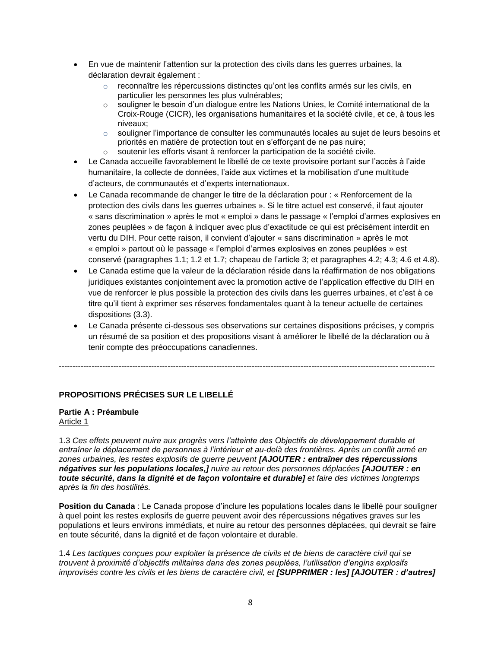- En vue de maintenir l'attention sur la protection des civils dans les guerres urbaines, la déclaration devrait également :
	- $\circ$  reconnaître les répercussions distinctes qu'ont les conflits armés sur les civils, en particulier les personnes les plus vulnérables;
	- o souligner le besoin d'un dialogue entre les Nations Unies, le Comité international de la Croix-Rouge (CICR), les organisations humanitaires et la société civile, et ce, à tous les niveaux;
	- $\circ$  souligner l'importance de consulter les communautés locales au sujet de leurs besoins et priorités en matière de protection tout en s'efforçant de ne pas nuire;
	- o soutenir les efforts visant à renforcer la participation de la société civile.
- Le Canada accueille favorablement le libellé de ce texte provisoire portant sur l'accès à l'aide humanitaire, la collecte de données, l'aide aux victimes et la mobilisation d'une multitude d'acteurs, de communautés et d'experts internationaux.
- Le Canada recommande de changer le titre de la déclaration pour : « Renforcement de la protection des civils dans les guerres urbaines ». Si le titre actuel est conservé, il faut ajouter « sans discrimination » après le mot « emploi » dans le passage « l'emploi d'armes explosives en zones peuplées » de façon à indiquer avec plus d'exactitude ce qui est précisément interdit en vertu du DIH. Pour cette raison, il convient d'ajouter « sans discrimination » après le mot « emploi » partout où le passage « l'emploi d'armes explosives en zones peuplées » est conservé (paragraphes 1.1; 1.2 et 1.7; chapeau de l'article 3; et paragraphes 4.2; 4.3; 4.6 et 4.8).
- Le Canada estime que la valeur de la déclaration réside dans la réaffirmation de nos obligations juridiques existantes conjointement avec la promotion active de l'application effective du DIH en vue de renforcer le plus possible la protection des civils dans les guerres urbaines, et c'est à ce titre qu'il tient à exprimer ses réserves fondamentales quant à la teneur actuelle de certaines dispositions (3.3).
- Le Canada présente ci-dessous ses observations sur certaines dispositions précises, y compris un résumé de sa position et des propositions visant à améliorer le libellé de la déclaration ou à tenir compte des préoccupations canadiennes.

------------------------------------------------------------------------------------------------------------------------------------------

# **PROPOSITIONS PRÉCISES SUR LE LIBELLÉ**

#### **Partie A : Préambule**  Article 1

1.3 *Ces effets peuvent nuire aux progrès vers l'atteinte des Objectifs de développement durable et entraîner le déplacement de personnes à l'intérieur et au-delà des frontières. Après un conflit armé en zones urbaines, les restes explosifs de guerre peuvent [AJOUTER : entraîner des répercussions négatives sur les populations locales,] nuire au retour des personnes déplacées [AJOUTER : en toute sécurité, dans la dignité et de façon volontaire et durable] et faire des victimes longtemps après la fin des hostilités.*

**Position du Canada** : Le Canada propose d'inclure les populations locales dans le libellé pour souligner à quel point les restes explosifs de guerre peuvent avoir des répercussions négatives graves sur les populations et leurs environs immédiats, et nuire au retour des personnes déplacées, qui devrait se faire en toute sécurité, dans la dignité et de façon volontaire et durable.

1.4 *Les tactiques conçues pour exploiter la présence de civils et de biens de caractère civil qui se trouvent à proximité d'objectifs militaires dans des zones peuplées, l'utilisation d'engins explosifs improvisés contre les civils et les biens de caractère civil, et [SUPPRIMER : les] [AJOUTER : d'autres]*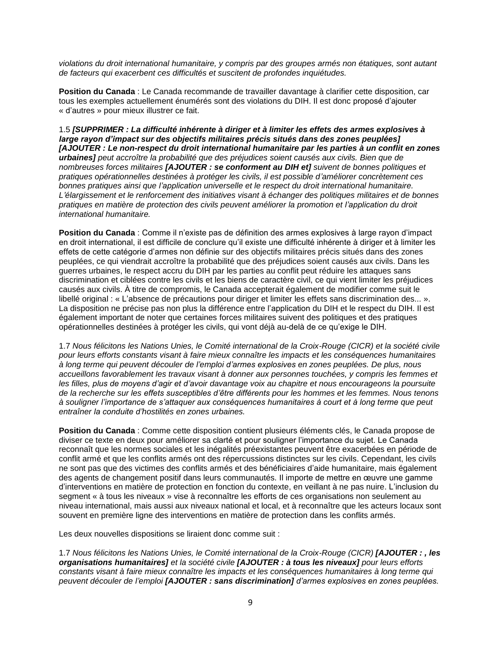*violations du droit international humanitaire, y compris par des groupes armés non étatiques, sont autant de facteurs qui exacerbent ces difficultés et suscitent de profondes inquiétudes.*

**Position du Canada** : Le Canada recommande de travailler davantage à clarifier cette disposition, car tous les exemples actuellement énumérés sont des violations du DIH. Il est donc proposé d'ajouter « d'autres » pour mieux illustrer ce fait.

1.5 *[SUPPRIMER : La difficulté inhérente à diriger et à limiter les effets des armes explosives à large rayon d'impact sur des objectifs militaires précis situés dans des zones peuplées] [AJOUTER : Le non-respect du droit international humanitaire par les parties à un conflit en zones urbaines] peut accroître la probabilité que des préjudices soient causés aux civils. Bien que de nombreuses forces militaires [AJOUTER : se conforment au DIH et] suivent de bonnes politiques et pratiques opérationnelles destinées à protéger les civils, il est possible d'améliorer concrètement ces bonnes pratiques ainsi que l'application universelle et le respect du droit international humanitaire. L'élargissement et le renforcement des initiatives visant à échanger des politiques militaires et de bonnes pratiques en matière de protection des civils peuvent améliorer la promotion et l'application du droit international humanitaire.*

**Position du Canada** : Comme il n'existe pas de définition des armes explosives à large rayon d'impact en droit international, il est difficile de conclure qu'il existe une difficulté inhérente à diriger et à limiter les effets de cette catégorie d'armes non définie sur des objectifs militaires précis situés dans des zones peuplées, ce qui viendrait accroître la probabilité que des préjudices soient causés aux civils. Dans les guerres urbaines, le respect accru du DIH par les parties au conflit peut réduire les attaques sans discrimination et ciblées contre les civils et les biens de caractère civil, ce qui vient limiter les préjudices causés aux civils. À titre de compromis, le Canada accepterait également de modifier comme suit le libellé original : « L'absence de précautions pour diriger et limiter les effets sans discrimination des... ». La disposition ne précise pas non plus la différence entre l'application du DIH et le respect du DIH. Il est également important de noter que certaines forces militaires suivent des politiques et des pratiques opérationnelles destinées à protéger les civils, qui vont déjà au-delà de ce qu'exige le DIH.

1.7 *Nous félicitons les Nations Unies, le Comité international de la Croix-Rouge (CICR) et la société civile pour leurs efforts constants visant à faire mieux connaître les impacts et les conséquences humanitaires à long terme qui peuvent découler de l'emploi d'armes explosives en zones peuplées. De plus, nous accueillons favorablement les travaux visant à donner aux personnes touchées, y compris les femmes et les filles, plus de moyens d'agir et d'avoir davantage voix au chapitre et nous encourageons la poursuite de la recherche sur les effets susceptibles d'être différents pour les hommes et les femmes. Nous tenons à souligner l'importance de s'attaquer aux conséquences humanitaires à court et à long terme que peut entraîner la conduite d'hostilités en zones urbaines.*

**Position du Canada** : Comme cette disposition contient plusieurs éléments clés, le Canada propose de diviser ce texte en deux pour améliorer sa clarté et pour souligner l'importance du sujet. Le Canada reconnaît que les normes sociales et les inégalités préexistantes peuvent être exacerbées en période de conflit armé et que les conflits armés ont des répercussions distinctes sur les civils. Cependant, les civils ne sont pas que des victimes des conflits armés et des bénéficiaires d'aide humanitaire, mais également des agents de changement positif dans leurs communautés. Il importe de mettre en œuvre une gamme d'interventions en matière de protection en fonction du contexte, en veillant à ne pas nuire. L'inclusion du segment « à tous les niveaux » vise à reconnaître les efforts de ces organisations non seulement au niveau international, mais aussi aux niveaux national et local, et à reconnaître que les acteurs locaux sont souvent en première ligne des interventions en matière de protection dans les conflits armés.

Les deux nouvelles dispositions se liraient donc comme suit :

1.7 *Nous félicitons les Nations Unies, le Comité international de la Croix-Rouge (CICR) [AJOUTER : , les organisations humanitaires] et la société civile [AJOUTER : à tous les niveaux] pour leurs efforts constants visant à faire mieux connaître les impacts et les conséquences humanitaires à long terme qui peuvent découler de l'emploi [AJOUTER : sans discrimination] d'armes explosives en zones peuplées.*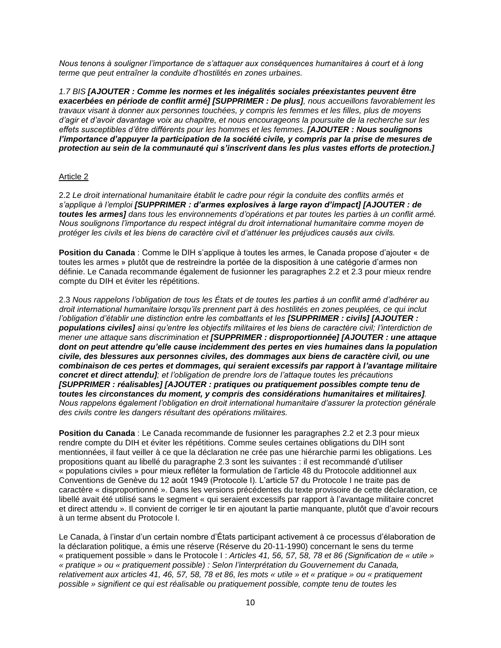*Nous tenons à souligner l'importance de s'attaquer aux conséquences humanitaires à court et à long terme que peut entraîner la conduite d'hostilités en zones urbaines.*

*1.7 BIS [AJOUTER : Comme les normes et les inégalités sociales préexistantes peuvent être exacerbées en période de conflit armé] [SUPPRIMER : De plus], nous accueillons favorablement les travaux visant à donner aux personnes touchées, y compris les femmes et les filles, plus de moyens d'agir et d'avoir davantage voix au chapitre, et nous encourageons la poursuite de la recherche sur les effets susceptibles d'être différents pour les hommes et les femmes. [AJOUTER : Nous soulignons*  l'importance d'appuyer la participation de la société civile, y compris par la prise de mesures de *protection au sein de la communauté qui s'inscrivent dans les plus vastes efforts de protection.]*

### Article 2

2.2 *Le droit international humanitaire établit le cadre pour régir la conduite des conflits armés et s'applique à l'emploi [SUPPRIMER : d'armes explosives à large rayon d'impact] [AJOUTER : de toutes les armes] dans tous les environnements d'opérations et par toutes les parties à un conflit armé. Nous soulignons l'importance du respect intégral du droit international humanitaire comme moyen de protéger les civils et les biens de caractère civil et d'atténuer les préjudices causés aux civils.*

**Position du Canada** : Comme le DIH s'applique à toutes les armes, le Canada propose d'ajouter « de toutes les armes » plutôt que de restreindre la portée de la disposition à une catégorie d'armes non définie. Le Canada recommande également de fusionner les paragraphes 2.2 et 2.3 pour mieux rendre compte du DIH et éviter les répétitions.

2.3 *Nous rappelons l'obligation de tous les États et de toutes les parties à un conflit armé d'adhérer au droit international humanitaire lorsqu'ils prennent part à des hostilités en zones peuplées, ce qui inclut l'obligation d'établir une distinction entre les combattants et les [SUPPRIMER : civils] [AJOUTER : populations civiles] ainsi qu'entre les objectifs militaires et les biens de caractère civil; l'interdiction de mener une attaque sans discrimination et [SUPPRIMER : disproportionnée] [AJOUTER : une attaque dont on peut attendre qu'elle cause incidemment des pertes en vies humaines dans la population civile, des blessures aux personnes civiles, des dommages aux biens de caractère civil, ou une combinaison de ces pertes et dommages, qui seraient excessifs par rapport à l'avantage militaire concret et direct attendu]; et l'obligation de prendre lors de l'attaque toutes les précautions [SUPPRIMER : réalisables] [AJOUTER : pratiques ou pratiquement possibles compte tenu de toutes les circonstances du moment, y compris des considérations humanitaires et militaires]. Nous rappelons également l'obligation en droit international humanitaire d'assurer la protection générale des civils contre les dangers résultant des opérations militaires.*

**Position du Canada** : Le Canada recommande de fusionner les paragraphes 2.2 et 2.3 pour mieux rendre compte du DIH et éviter les répétitions. Comme seules certaines obligations du DIH sont mentionnées, il faut veiller à ce que la déclaration ne crée pas une hiérarchie parmi les obligations. Les propositions quant au libellé du paragraphe 2.3 sont les suivantes : il est recommandé d'utiliser « populations civiles » pour mieux refléter la formulation de l'article 48 du Protocole additionnel aux Conventions de Genève du 12 août 1949 (Protocole I). L'article 57 du Protocole I ne traite pas de caractère « disproportionné ». Dans les versions précédentes du texte provisoire de cette déclaration, ce libellé avait été utilisé sans le segment « qui seraient excessifs par rapport à l'avantage militaire concret et direct attendu ». Il convient de corriger le tir en ajoutant la partie manquante, plutôt que d'avoir recours à un terme absent du Protocole I.

Le Canada, à l'instar d'un certain nombre d'États participant activement à ce processus d'élaboration de la déclaration politique, a émis une réserve (Réserve du 20-11-1990) concernant le sens du terme « pratiquement possible » dans le Protocole I : *Articles 41, 56, 57, 58, 78 et 86 (Signification de « utile » « pratique » ou « pratiquement possible) : Selon l'interprétation du Gouvernement du Canada, relativement aux articles 41, 46, 57, 58, 78 et 86, les mots « utile » et « pratique » ou « pratiquement possible » signifient ce qui est réalisable ou pratiquement possible, compte tenu de toutes les*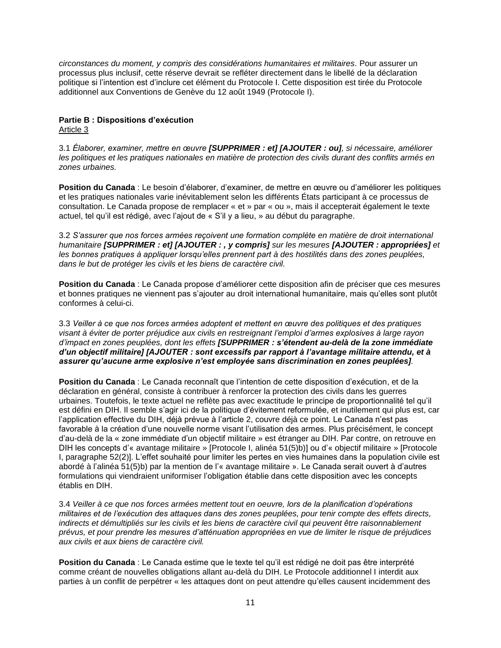*circonstances du moment, y compris des considérations humanitaires et militaires.* Pour assurer un processus plus inclusif, cette réserve devrait se refléter directement dans le libellé de la déclaration politique si l'intention est d'inclure cet élément du Protocole I. Cette disposition est tirée du Protocole additionnel aux Conventions de Genève du 12 août 1949 (Protocole I).

# **Partie B : Dispositions d'exécution**

Article 3

3.1 *Élaborer, examiner, mettre en œuvre [SUPPRIMER : et] [AJOUTER : ou], si nécessaire, améliorer les politiques et les pratiques nationales en matière de protection des civils durant des conflits armés en zones urbaines.*

**Position du Canada** : Le besoin d'élaborer, d'examiner, de mettre en œuvre ou d'améliorer les politiques et les pratiques nationales varie inévitablement selon les différents États participant à ce processus de consultation. Le Canada propose de remplacer « et » par « ou », mais il accepterait également le texte actuel, tel qu'il est rédigé, avec l'ajout de « S'il y a lieu, » au début du paragraphe.

3.2 *S'assurer que nos forces armées reçoivent une formation complète en matière de droit international humanitaire [SUPPRIMER : et] [AJOUTER : , y compris] sur les mesures [AJOUTER : appropriées] et les bonnes pratiques à appliquer lorsqu'elles prennent part à des hostilités dans des zones peuplées, dans le but de protéger les civils et les biens de caractère civil.*

**Position du Canada** : Le Canada propose d'améliorer cette disposition afin de préciser que ces mesures et bonnes pratiques ne viennent pas s'ajouter au droit international humanitaire, mais qu'elles sont plutôt conformes à celui-ci.

3.3 *Veiller à ce que nos forces armées adoptent et mettent en œuvre des politiques et des pratiques visant à éviter de porter préjudice aux civils en restreignant l'emploi d'armes explosives à large rayon d'impact en zones peuplées, dont les effets [SUPPRIMER : s'étendent au-delà de la zone immédiate d'un objectif militaire] [AJOUTER : sont excessifs par rapport à l'avantage militaire attendu, et à assurer qu'aucune arme explosive n'est employée sans discrimination en zones peuplées].*

**Position du Canada** : Le Canada reconnaît que l'intention de cette disposition d'exécution, et de la déclaration en général, consiste à contribuer à renforcer la protection des civils dans les guerres urbaines. Toutefois, le texte actuel ne reflète pas avec exactitude le principe de proportionnalité tel qu'il est défini en DIH. Il semble s'agir ici de la politique d'évitement reformulée, et inutilement qui plus est, car l'application effective du DIH, déjà prévue à l'article 2, couvre déjà ce point. Le Canada n'est pas favorable à la création d'une nouvelle norme visant l'utilisation des armes. Plus précisément, le concept d'au-delà de la « zone immédiate d'un objectif militaire » est étranger au DIH. Par contre, on retrouve en DIH les concepts d'« avantage militaire » [Protocole I, alinéa 51(5)b)] ou d'« objectif militaire » [Protocole I, paragraphe 52(2)]. L'effet souhaité pour limiter les pertes en vies humaines dans la population civile est abordé à l'alinéa 51(5)b) par la mention de l'« avantage militaire ». Le Canada serait ouvert à d'autres formulations qui viendraient uniformiser l'obligation établie dans cette disposition avec les concepts établis en DIH.

3.4 *Veiller à ce que nos forces armées mettent tout en oeuvre, lors de la planification d'opérations militaires et de l'exécution des attaques dans des zones peuplées, pour tenir compte des effets directs, indirects et démultipliés sur les civils et les biens de caractère civil qui peuvent être raisonnablement prévus, et pour prendre les mesures d'atténuation appropriées en vue de limiter le risque de préjudices aux civils et aux biens de caractère civil.*

Position du Canada : Le Canada estime que le texte tel qu'il est rédigé ne doit pas être interprété comme créant de nouvelles obligations allant au-delà du DIH. Le Protocole additionnel I interdit aux parties à un conflit de perpétrer « les attaques dont on peut attendre qu'elles causent incidemment des